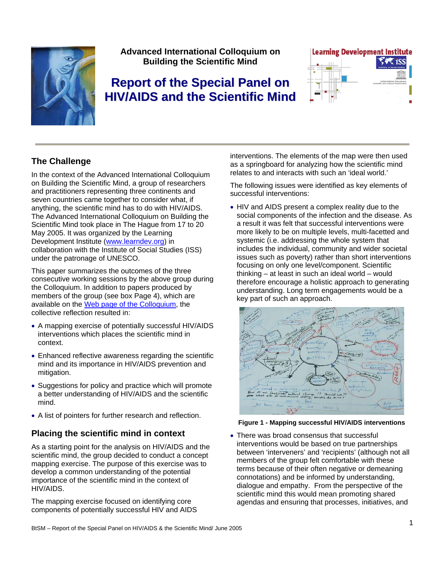

**Advanced International Colloquium on Building the Scientific Mind** 

# **Report of the Special Panel on HIV/AIDS and the Scientific Mind**



# **The Challenge**

In the context of the Advanced International Colloquium on Building the Scientific Mind, a group of researchers and practitioners representing three continents and seven countries came together to consider what, if anything, the scientific mind has to do with HIV/AIDS. The Advanced International Colloquium on Building the Scientific Mind took place in The Hague from 17 to 20 May 2005. It was organized by the Learning Development Institute [\(www.learndev.org](http://www.learndev.org/)) in collaboration with the Institute of Social Studies (ISS) under the patronage of UNESCO.

This paper summarizes the outcomes of the three consecutive working sessions by the above group during the Colloquium. In addition to papers produced by members of the group (see box Page 4), which are available on the [Web page of the Colloquium](http://www.learndev.org/ColloquiumBuildingTSM2005.html), the collective reflection resulted in:

- A mapping exercise of potentially successful HIV/AIDS interventions which places the scientific mind in context.
- Enhanced reflective awareness regarding the scientific mind and its importance in HIV/AIDS prevention and mitigation.
- Suggestions for policy and practice which will promote a better understanding of HIV/AIDS and the scientific mind.
- A list of pointers for further research and reflection.

## **Placing the scientific mind in context**

As a starting point for the analysis on HIV/AIDS and the scientific mind, the group decided to conduct a concept mapping exercise. The purpose of this exercise was to develop a common understanding of the potential importance of the scientific mind in the context of HIV/AIDS.

The mapping exercise focused on identifying core components of potentially successful HIV and AIDS interventions. The elements of the map were then used as a springboard for analyzing how the scientific mind relates to and interacts with such an 'ideal world.'

The following issues were identified as key elements of successful interventions:

• HIV and AIDS present a complex reality due to the social components of the infection and the disease. As a result it was felt that successful interventions were more likely to be on multiple levels, multi-facetted and systemic (i.e. addressing the whole system that includes the individual, community and wider societal issues such as poverty) rather than short interventions focusing on only one level/component. Scientific thinking – at least in such an ideal world – would therefore encourage a holistic approach to generating understanding. Long term engagements would be a key part of such an approach.



**Figure 1 - Mapping successful HIV/AIDS interventions**

• There was broad consensus that successful interventions would be based on true partnerships between 'interveners' and 'recipients' (although not all members of the group felt comfortable with these terms because of their often negative or demeaning connotations) and be informed by understanding, dialogue and empathy. From the perspective of the scientific mind this would mean promoting shared agendas and ensuring that processes, initiatives, and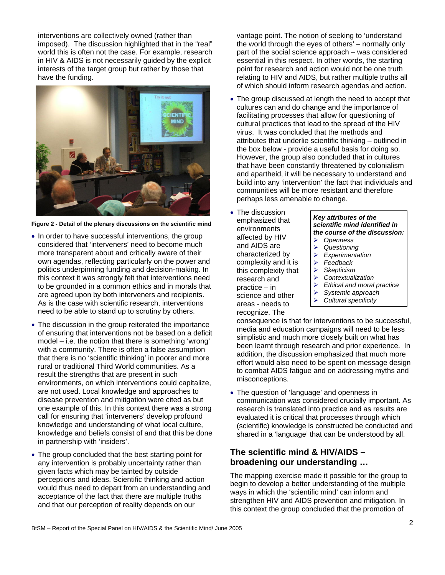interventions are collectively owned (rather than imposed). The discussion highlighted that in the "real" world this is often not the case. For example, research in HIV & AIDS is not necessarily guided by the explicit interests of the target group but rather by those that have the funding.



**Figure 2 - Detail of the plenary discussions on the scientific mind**

- In order to have successful interventions, the group considered that 'interveners' need to become much more transparent about and critically aware of their own agendas, reflecting particularly on the power and politics underpinning funding and decision-making. In this context it was strongly felt that interventions need to be grounded in a common ethics and in morals that are agreed upon by both interveners and recipients. As is the case with scientific research, interventions need to be able to stand up to scrutiny by others.
- The discussion in the group reiterated the importance of ensuring that interventions not be based on a deficit model – i.e. the notion that there is something 'wrong' with a community. There is often a false assumption that there is no 'scientific thinking' in poorer and more rural or traditional Third World communities. As a result the strengths that are present in such environments, on which interventions could capitalize, are not used. Local knowledge and approaches to disease prevention and mitigation were cited as but one example of this. In this context there was a strong call for ensuring that 'interveners' develop profound knowledge and understanding of what local culture, knowledge and beliefs consist of and that this be done in partnership with 'insiders'.
- The group concluded that the best starting point for any intervention is probably uncertainty rather than given facts which may be tainted by outside perceptions and ideas. Scientific thinking and action would thus need to depart from an understanding and acceptance of the fact that there are multiple truths and that our perception of reality depends on our

vantage point. The notion of seeking to 'understand the world through the eyes of others' – normally only part of the social science approach – was considered essential in this respect. In other words, the starting point for research and action would not be one truth relating to HIV and AIDS, but rather multiple truths all of which should inform research agendas and action.

- The group discussed at length the need to accept that cultures can and do change and the importance of facilitating processes that allow for questioning of cultural practices that lead to the spread of the HIV virus. It was concluded that the methods and attributes that underlie scientific thinking – outlined in the box below - provide a useful basis for doing so. However, the group also concluded that in cultures that have been constantly threatened by colonialism and apartheid, it will be necessary to understand and build into any 'intervention' the fact that individuals and communities will be more resistant and therefore perhaps less amenable to change.
- The discussion emphasized that environments affected by HIV and AIDS are characterized by complexity and it is this complexity that research and practice – in science and other areas - needs to recognize. The

#### *Key attributes of the scientific mind identified in the course of the discussion:*

- ¾ *Openness*  ¾ *Questioning*
- ¾ *Experimentation*
- ¾ *Feedback*
- ¾ *Skepticism*
- ¾ *Contextualization*
- ¾ *Ethical and moral practice*
- ¾ *Systemic approach*
- ¾ *Cultural specificity*

consequence is that for interventions to be successful, media and education campaigns will need to be less simplistic and much more closely built on what has been learnt through research and prior experience. In addition, the discussion emphasized that much more effort would also need to be spent on message design to combat AIDS fatigue and on addressing myths and misconceptions.

• The question of 'language' and openness in communication was considered crucially important. As research is translated into practice and as results are evaluated it is critical that processes through which (scientific) knowledge is constructed be conducted and shared in a 'language' that can be understood by all.

### **The scientific mind & HIV/AIDS – broadening our understanding …**

The mapping exercise made it possible for the group to begin to develop a better understanding of the multiple ways in which the 'scientific mind' can inform and strengthen HIV and AIDS prevention and mitigation. In this context the group concluded that the promotion of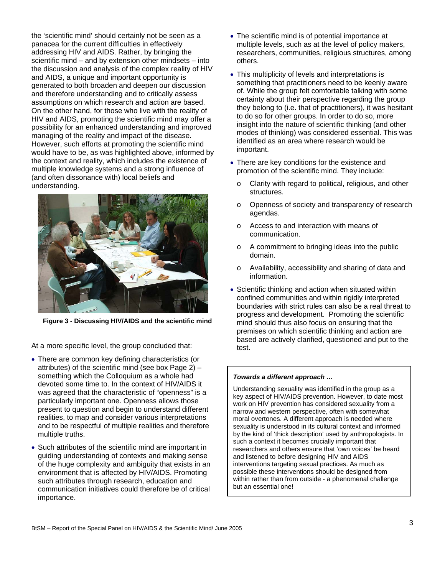the 'scientific mind' should certainly not be seen as a panacea for the current difficulties in effectively addressing HIV and AIDS. Rather, by bringing the scientific mind – and by extension other mindsets – into the discussion and analysis of the complex reality of HIV and AIDS, a unique and important opportunity is generated to both broaden and deepen our discussion and therefore understanding and to critically assess assumptions on which research and action are based. On the other hand, for those who live with the reality of HIV and AIDS, promoting the scientific mind may offer a possibility for an enhanced understanding and improved managing of the reality and impact of the disease. However, such efforts at promoting the scientific mind would have to be, as was highlighted above, informed by the context and reality, which includes the existence of multiple knowledge systems and a strong influence of (and often dissonance with) local beliefs and understanding.



**Figure 3 - Discussing HIV/AIDS and the scientific mind**

At a more specific level, the group concluded that:

- There are common key defining characteristics (or attributes) of the scientific mind (see box Page 2) – something which the Colloquium as a whole had devoted some time to. In the context of HIV/AIDS it was agreed that the characteristic of "openness" is a particularly important one. Openness allows those present to question and begin to understand different realities, to map and consider various interpretations and to be respectful of multiple realities and therefore multiple truths.
- Such attributes of the scientific mind are important in guiding understanding of contexts and making sense of the huge complexity and ambiguity that exists in an environment that is affected by HIV/AIDS. Promoting such attributes through research, education and communication initiatives could therefore be of critical importance.
- The scientific mind is of potential importance at multiple levels, such as at the level of policy makers, researchers, communities, religious structures, among others.
- This multiplicity of levels and interpretations is something that practitioners need to be keenly aware of. While the group felt comfortable talking with some certainty about their perspective regarding the group they belong to (i.e. that of practitioners), it was hesitant to do so for other groups. In order to do so, more insight into the nature of scientific thinking (and other modes of thinking) was considered essential. This was identified as an area where research would be important.
- There are key conditions for the existence and promotion of the scientific mind. They include:
	- o Clarity with regard to political, religious, and other structures.
	- o Openness of society and transparency of research agendas.
	- o Access to and interaction with means of communication.
	- o A commitment to bringing ideas into the public domain.
	- o Availability, accessibility and sharing of data and information.
- Scientific thinking and action when situated within confined communities and within rigidly interpreted boundaries with strict rules can also be a real threat to progress and development. Promoting the scientific mind should thus also focus on ensuring that the premises on which scientific thinking and action are based are actively clarified, questioned and put to the test.

#### *Towards a different approach …*

Understanding sexuality was identified in the group as a key aspect of HIV/AIDS prevention. However, to date most work on HIV prevention has considered sexuality from a narrow and western perspective, often with somewhat moral overtones. A different approach is needed where sexuality is understood in its cultural context and informed by the kind of 'thick description' used by anthropologists. In such a context it becomes crucially important that researchers and others ensure that 'own voices' be heard and listened to before designing HIV and AIDS interventions targeting sexual practices. As much as possible these interventions should be designed from within rather than from outside - a phenomenal challenge but an essential one!